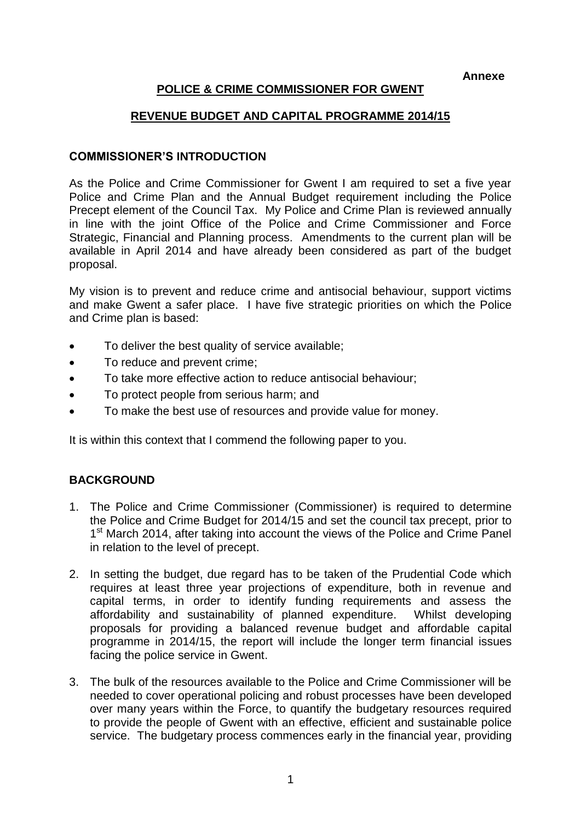**Annexe**

# **POLICE & CRIME COMMISSIONER FOR GWENT**

### **REVENUE BUDGET AND CAPITAL PROGRAMME 2014/15**

#### **COMMISSIONER'S INTRODUCTION**

As the Police and Crime Commissioner for Gwent I am required to set a five year Police and Crime Plan and the Annual Budget requirement including the Police Precept element of the Council Tax. My Police and Crime Plan is reviewed annually in line with the joint Office of the Police and Crime Commissioner and Force Strategic, Financial and Planning process. Amendments to the current plan will be available in April 2014 and have already been considered as part of the budget proposal.

My vision is to prevent and reduce crime and antisocial behaviour, support victims and make Gwent a safer place. I have five strategic priorities on which the Police and Crime plan is based:

- To deliver the best quality of service available;
- To reduce and prevent crime;
- To take more effective action to reduce antisocial behaviour;
- To protect people from serious harm; and
- To make the best use of resources and provide value for money.

It is within this context that I commend the following paper to you.

## **BACKGROUND**

- 1. The Police and Crime Commissioner (Commissioner) is required to determine the Police and Crime Budget for 2014/15 and set the council tax precept, prior to 1<sup>st</sup> March 2014, after taking into account the views of the Police and Crime Panel in relation to the level of precept.
- 2. In setting the budget, due regard has to be taken of the Prudential Code which requires at least three year projections of expenditure, both in revenue and capital terms, in order to identify funding requirements and assess the affordability and sustainability of planned expenditure. Whilst developing proposals for providing a balanced revenue budget and affordable capital programme in 2014/15, the report will include the longer term financial issues facing the police service in Gwent.
- 3. The bulk of the resources available to the Police and Crime Commissioner will be needed to cover operational policing and robust processes have been developed over many years within the Force, to quantify the budgetary resources required to provide the people of Gwent with an effective, efficient and sustainable police service. The budgetary process commences early in the financial year, providing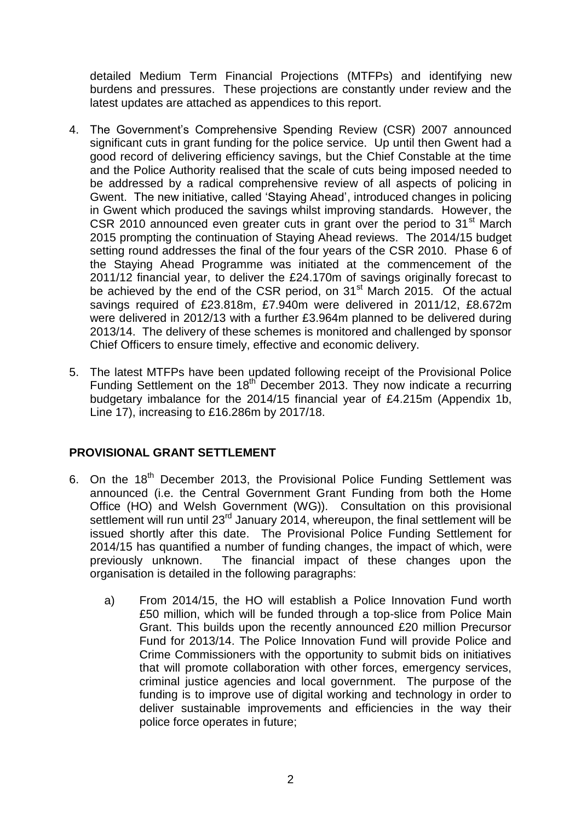detailed Medium Term Financial Projections (MTFPs) and identifying new burdens and pressures. These projections are constantly under review and the latest updates are attached as appendices to this report.

- 4. The Government's Comprehensive Spending Review (CSR) 2007 announced significant cuts in grant funding for the police service. Up until then Gwent had a good record of delivering efficiency savings, but the Chief Constable at the time and the Police Authority realised that the scale of cuts being imposed needed to be addressed by a radical comprehensive review of all aspects of policing in Gwent. The new initiative, called 'Staying Ahead', introduced changes in policing in Gwent which produced the savings whilst improving standards. However, the CSR 2010 announced even greater cuts in grant over the period to  $31<sup>st</sup>$  March 2015 prompting the continuation of Staying Ahead reviews. The 2014/15 budget setting round addresses the final of the four years of the CSR 2010. Phase 6 of the Staying Ahead Programme was initiated at the commencement of the 2011/12 financial year, to deliver the £24.170m of savings originally forecast to be achieved by the end of the CSR period, on 31<sup>st</sup> March 2015. Of the actual savings required of £23.818m, £7.940m were delivered in 2011/12, £8.672m were delivered in 2012/13 with a further £3.964m planned to be delivered during 2013/14. The delivery of these schemes is monitored and challenged by sponsor Chief Officers to ensure timely, effective and economic delivery.
- 5. The latest MTFPs have been updated following receipt of the Provisional Police Funding Settlement on the  $18<sup>th</sup>$  December 2013. They now indicate a recurring budgetary imbalance for the 2014/15 financial year of £4.215m (Appendix 1b, Line 17), increasing to £16.286m by 2017/18.

## **PROVISIONAL GRANT SETTLEMENT**

- 6. On the 18<sup>th</sup> December 2013, the Provisional Police Funding Settlement was announced (i.e. the Central Government Grant Funding from both the Home Office (HO) and Welsh Government (WG)). Consultation on this provisional settlement will run until 23<sup>rd</sup> January 2014, whereupon, the final settlement will be issued shortly after this date. The Provisional Police Funding Settlement for 2014/15 has quantified a number of funding changes, the impact of which, were previously unknown. The financial impact of these changes upon the organisation is detailed in the following paragraphs:
	- a) From 2014/15, the HO will establish a Police Innovation Fund worth £50 million, which will be funded through a top-slice from Police Main Grant. This builds upon the recently announced £20 million Precursor Fund for 2013/14. The Police Innovation Fund will provide Police and Crime Commissioners with the opportunity to submit bids on initiatives that will promote collaboration with other forces, emergency services, criminal justice agencies and local government. The purpose of the funding is to improve use of digital working and technology in order to deliver sustainable improvements and efficiencies in the way their police force operates in future;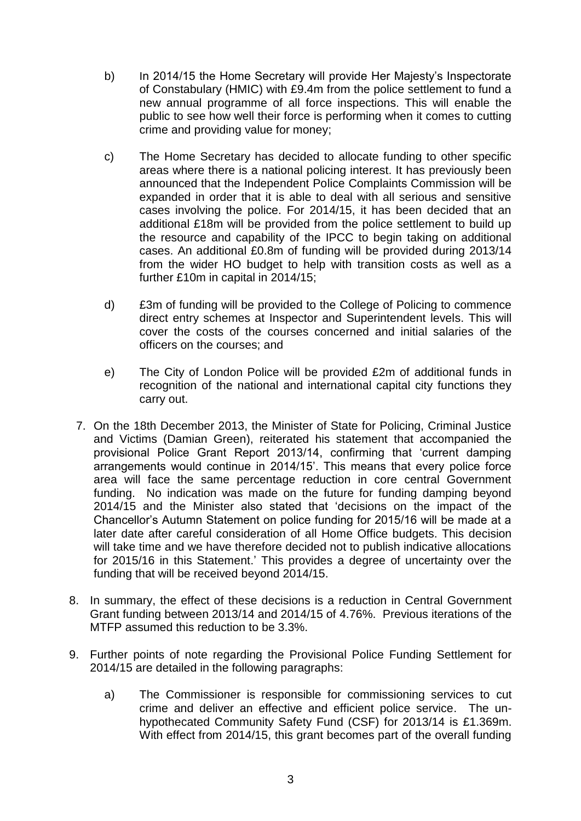- b) In 2014/15 the Home Secretary will provide Her Majesty's Inspectorate of Constabulary (HMIC) with £9.4m from the police settlement to fund a new annual programme of all force inspections. This will enable the public to see how well their force is performing when it comes to cutting crime and providing value for money;
- c) The Home Secretary has decided to allocate funding to other specific areas where there is a national policing interest. It has previously been announced that the Independent Police Complaints Commission will be expanded in order that it is able to deal with all serious and sensitive cases involving the police. For 2014/15, it has been decided that an additional £18m will be provided from the police settlement to build up the resource and capability of the IPCC to begin taking on additional cases. An additional £0.8m of funding will be provided during 2013/14 from the wider HO budget to help with transition costs as well as a further £10m in capital in 2014/15;
- d) £3m of funding will be provided to the College of Policing to commence direct entry schemes at Inspector and Superintendent levels. This will cover the costs of the courses concerned and initial salaries of the officers on the courses; and
- e) The City of London Police will be provided £2m of additional funds in recognition of the national and international capital city functions they carry out.
- 7. On the 18th December 2013, the Minister of State for Policing, Criminal Justice and Victims (Damian Green), reiterated his statement that accompanied the provisional Police Grant Report 2013/14, confirming that 'current damping arrangements would continue in 2014/15'. This means that every police force area will face the same percentage reduction in core central Government funding. No indication was made on the future for funding damping beyond 2014/15 and the Minister also stated that 'decisions on the impact of the Chancellor's Autumn Statement on police funding for 2015/16 will be made at a later date after careful consideration of all Home Office budgets. This decision will take time and we have therefore decided not to publish indicative allocations for 2015/16 in this Statement.' This provides a degree of uncertainty over the funding that will be received beyond 2014/15.
- 8. In summary, the effect of these decisions is a reduction in Central Government Grant funding between 2013/14 and 2014/15 of 4.76%. Previous iterations of the MTFP assumed this reduction to be 3.3%.
- 9. Further points of note regarding the Provisional Police Funding Settlement for 2014/15 are detailed in the following paragraphs:
	- a) The Commissioner is responsible for commissioning services to cut crime and deliver an effective and efficient police service. The unhypothecated Community Safety Fund (CSF) for 2013/14 is £1.369m. With effect from 2014/15, this grant becomes part of the overall funding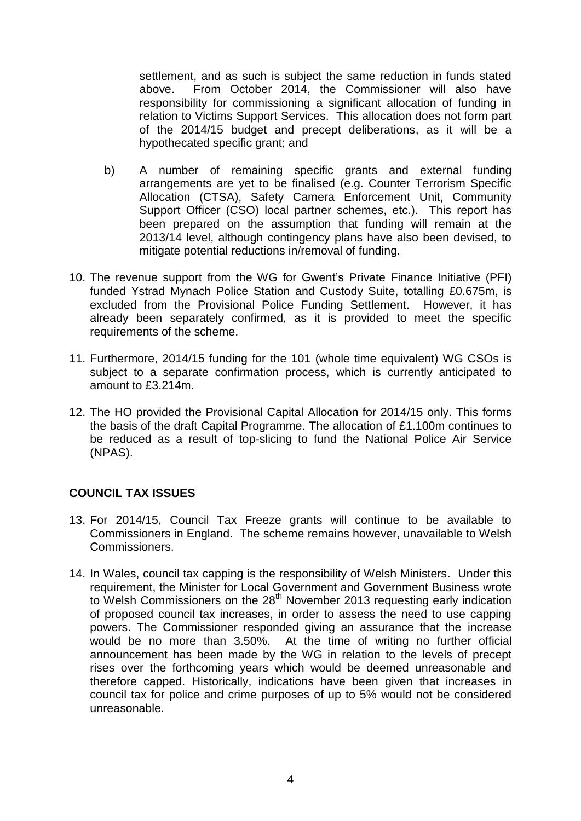settlement, and as such is subject the same reduction in funds stated above. From October 2014, the Commissioner will also have responsibility for commissioning a significant allocation of funding in relation to Victims Support Services. This allocation does not form part of the 2014/15 budget and precept deliberations, as it will be a hypothecated specific grant; and

- b) A number of remaining specific grants and external funding arrangements are yet to be finalised (e.g. Counter Terrorism Specific Allocation (CTSA), Safety Camera Enforcement Unit, Community Support Officer (CSO) local partner schemes, etc.). This report has been prepared on the assumption that funding will remain at the 2013/14 level, although contingency plans have also been devised, to mitigate potential reductions in/removal of funding.
- 10. The revenue support from the WG for Gwent's Private Finance Initiative (PFI) funded Ystrad Mynach Police Station and Custody Suite, totalling £0.675m, is excluded from the Provisional Police Funding Settlement. However, it has already been separately confirmed, as it is provided to meet the specific requirements of the scheme.
- 11. Furthermore, 2014/15 funding for the 101 (whole time equivalent) WG CSOs is subject to a separate confirmation process, which is currently anticipated to amount to £3.214m.
- 12. The HO provided the Provisional Capital Allocation for 2014/15 only. This forms the basis of the draft Capital Programme. The allocation of £1.100m continues to be reduced as a result of top-slicing to fund the National Police Air Service (NPAS).

## **COUNCIL TAX ISSUES**

- 13. For 2014/15, Council Tax Freeze grants will continue to be available to Commissioners in England. The scheme remains however, unavailable to Welsh Commissioners.
- 14. In Wales, council tax capping is the responsibility of Welsh Ministers. Under this requirement, the Minister for Local Government and Government Business wrote to Welsh Commissioners on the 28<sup>th</sup> November 2013 requesting early indication of proposed council tax increases, in order to assess the need to use capping powers. The Commissioner responded giving an assurance that the increase would be no more than 3.50%. At the time of writing no further official announcement has been made by the WG in relation to the levels of precept rises over the forthcoming years which would be deemed unreasonable and therefore capped. Historically, indications have been given that increases in council tax for police and crime purposes of up to 5% would not be considered unreasonable.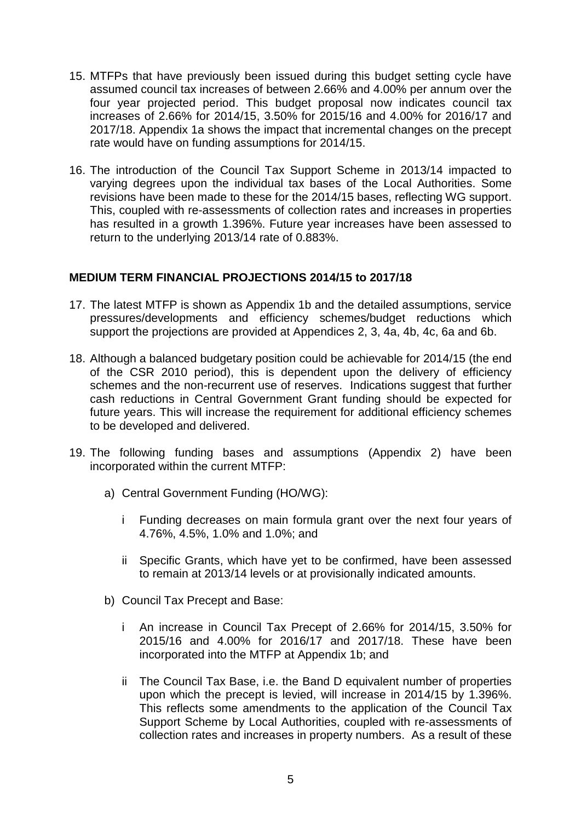- 15. MTFPs that have previously been issued during this budget setting cycle have assumed council tax increases of between 2.66% and 4.00% per annum over the four year projected period. This budget proposal now indicates council tax increases of 2.66% for 2014/15, 3.50% for 2015/16 and 4.00% for 2016/17 and 2017/18. Appendix 1a shows the impact that incremental changes on the precept rate would have on funding assumptions for 2014/15.
- 16. The introduction of the Council Tax Support Scheme in 2013/14 impacted to varying degrees upon the individual tax bases of the Local Authorities. Some revisions have been made to these for the 2014/15 bases, reflecting WG support. This, coupled with re-assessments of collection rates and increases in properties has resulted in a growth 1.396%. Future year increases have been assessed to return to the underlying 2013/14 rate of 0.883%.

#### **MEDIUM TERM FINANCIAL PROJECTIONS 2014/15 to 2017/18**

- 17. The latest MTFP is shown as Appendix 1b and the detailed assumptions, service pressures/developments and efficiency schemes/budget reductions which support the projections are provided at Appendices 2, 3, 4a, 4b, 4c, 6a and 6b.
- 18. Although a balanced budgetary position could be achievable for 2014/15 (the end of the CSR 2010 period), this is dependent upon the delivery of efficiency schemes and the non-recurrent use of reserves. Indications suggest that further cash reductions in Central Government Grant funding should be expected for future years. This will increase the requirement for additional efficiency schemes to be developed and delivered.
- 19. The following funding bases and assumptions (Appendix 2) have been incorporated within the current MTFP:
	- a) Central Government Funding (HO/WG):
		- i Funding decreases on main formula grant over the next four years of 4.76%, 4.5%, 1.0% and 1.0%; and
		- ii Specific Grants, which have yet to be confirmed, have been assessed to remain at 2013/14 levels or at provisionally indicated amounts.
	- b) Council Tax Precept and Base:
		- i An increase in Council Tax Precept of 2.66% for 2014/15, 3.50% for 2015/16 and 4.00% for 2016/17 and 2017/18. These have been incorporated into the MTFP at Appendix 1b; and
		- ii The Council Tax Base, i.e. the Band D equivalent number of properties upon which the precept is levied, will increase in 2014/15 by 1.396%. This reflects some amendments to the application of the Council Tax Support Scheme by Local Authorities, coupled with re-assessments of collection rates and increases in property numbers. As a result of these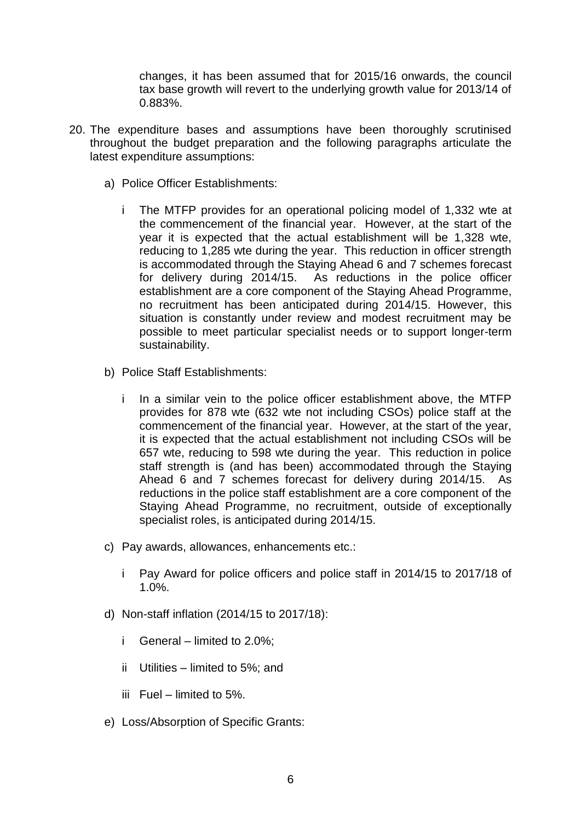changes, it has been assumed that for 2015/16 onwards, the council tax base growth will revert to the underlying growth value for 2013/14 of 0.883%.

- 20. The expenditure bases and assumptions have been thoroughly scrutinised throughout the budget preparation and the following paragraphs articulate the latest expenditure assumptions:
	- a) Police Officer Establishments:
		- i The MTFP provides for an operational policing model of 1,332 wte at the commencement of the financial year. However, at the start of the year it is expected that the actual establishment will be 1,328 wte, reducing to 1,285 wte during the year. This reduction in officer strength is accommodated through the Staying Ahead 6 and 7 schemes forecast for delivery during 2014/15. As reductions in the police officer establishment are a core component of the Staying Ahead Programme, no recruitment has been anticipated during 2014/15. However, this situation is constantly under review and modest recruitment may be possible to meet particular specialist needs or to support longer-term sustainability.
	- b) Police Staff Establishments:
		- i In a similar vein to the police officer establishment above, the MTFP provides for 878 wte (632 wte not including CSOs) police staff at the commencement of the financial year. However, at the start of the year, it is expected that the actual establishment not including CSOs will be 657 wte, reducing to 598 wte during the year. This reduction in police staff strength is (and has been) accommodated through the Staying Ahead 6 and 7 schemes forecast for delivery during 2014/15. As reductions in the police staff establishment are a core component of the Staying Ahead Programme, no recruitment, outside of exceptionally specialist roles, is anticipated during 2014/15.
	- c) Pay awards, allowances, enhancements etc.:
		- i Pay Award for police officers and police staff in 2014/15 to 2017/18 of 1.0%.
	- d) Non-staff inflation (2014/15 to 2017/18):
		- i General limited to 2.0%;
		- ii Utilities limited to 5%; and
		- iii Fuel limited to  $5\%$ .
	- e) Loss/Absorption of Specific Grants: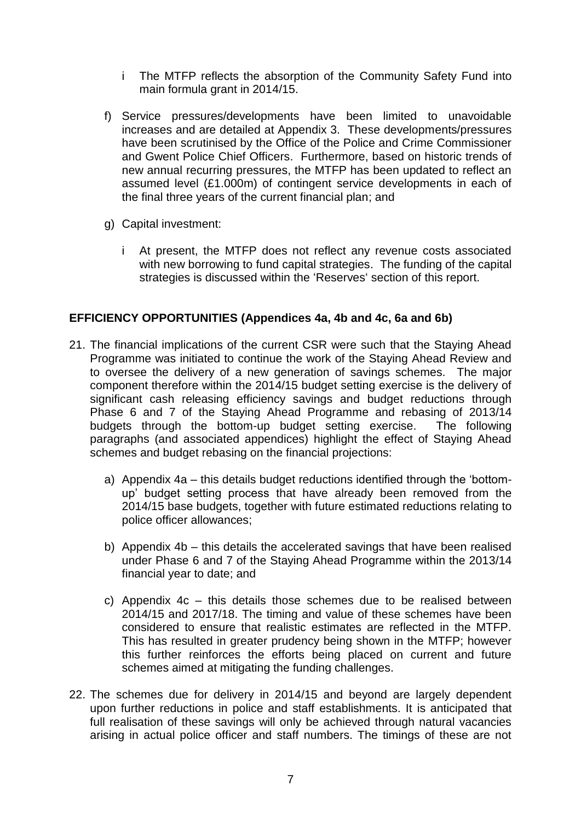- i The MTFP reflects the absorption of the Community Safety Fund into main formula grant in 2014/15.
- f) Service pressures/developments have been limited to unavoidable increases and are detailed at Appendix 3. These developments/pressures have been scrutinised by the Office of the Police and Crime Commissioner and Gwent Police Chief Officers. Furthermore, based on historic trends of new annual recurring pressures, the MTFP has been updated to reflect an assumed level (£1.000m) of contingent service developments in each of the final three years of the current financial plan; and
- g) Capital investment:
	- i At present, the MTFP does not reflect any revenue costs associated with new borrowing to fund capital strategies. The funding of the capital strategies is discussed within the 'Reserves' section of this report.

## **EFFICIENCY OPPORTUNITIES (Appendices 4a, 4b and 4c, 6a and 6b)**

- 21. The financial implications of the current CSR were such that the Staying Ahead Programme was initiated to continue the work of the Staying Ahead Review and to oversee the delivery of a new generation of savings schemes. The major component therefore within the 2014/15 budget setting exercise is the delivery of significant cash releasing efficiency savings and budget reductions through Phase 6 and 7 of the Staying Ahead Programme and rebasing of 2013/14 budgets through the bottom-up budget setting exercise. The following paragraphs (and associated appendices) highlight the effect of Staying Ahead schemes and budget rebasing on the financial projections:
	- a) Appendix 4a this details budget reductions identified through the 'bottomup' budget setting process that have already been removed from the 2014/15 base budgets, together with future estimated reductions relating to police officer allowances;
	- b) Appendix 4b this details the accelerated savings that have been realised under Phase 6 and 7 of the Staying Ahead Programme within the 2013/14 financial year to date; and
	- c) Appendix 4c this details those schemes due to be realised between 2014/15 and 2017/18. The timing and value of these schemes have been considered to ensure that realistic estimates are reflected in the MTFP. This has resulted in greater prudency being shown in the MTFP; however this further reinforces the efforts being placed on current and future schemes aimed at mitigating the funding challenges.
- 22. The schemes due for delivery in 2014/15 and beyond are largely dependent upon further reductions in police and staff establishments. It is anticipated that full realisation of these savings will only be achieved through natural vacancies arising in actual police officer and staff numbers. The timings of these are not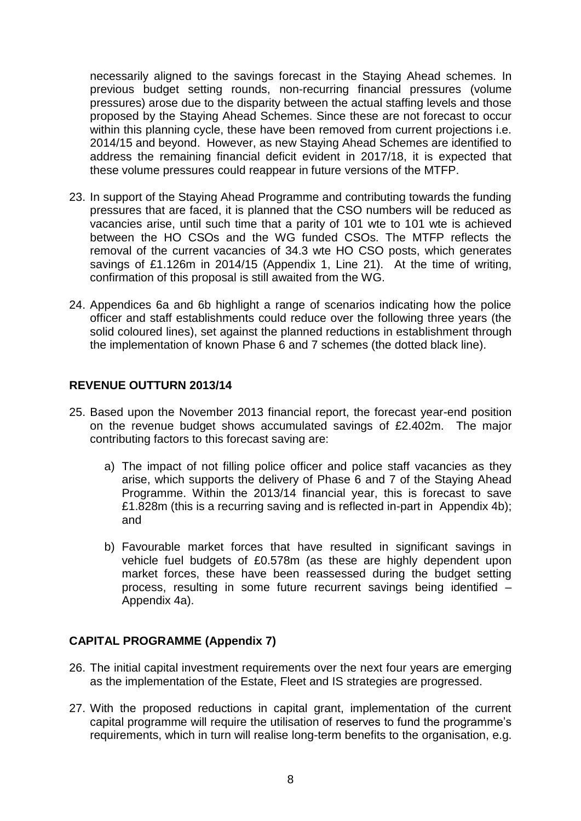necessarily aligned to the savings forecast in the Staying Ahead schemes. In previous budget setting rounds, non-recurring financial pressures (volume pressures) arose due to the disparity between the actual staffing levels and those proposed by the Staying Ahead Schemes. Since these are not forecast to occur within this planning cycle, these have been removed from current projections i.e. 2014/15 and beyond. However, as new Staying Ahead Schemes are identified to address the remaining financial deficit evident in 2017/18, it is expected that these volume pressures could reappear in future versions of the MTFP.

- 23. In support of the Staying Ahead Programme and contributing towards the funding pressures that are faced, it is planned that the CSO numbers will be reduced as vacancies arise, until such time that a parity of 101 wte to 101 wte is achieved between the HO CSOs and the WG funded CSOs. The MTFP reflects the removal of the current vacancies of 34.3 wte HO CSO posts, which generates savings of £1.126m in 2014/15 (Appendix 1, Line 21). At the time of writing, confirmation of this proposal is still awaited from the WG.
- 24. Appendices 6a and 6b highlight a range of scenarios indicating how the police officer and staff establishments could reduce over the following three years (the solid coloured lines), set against the planned reductions in establishment through the implementation of known Phase 6 and 7 schemes (the dotted black line).

### **REVENUE OUTTURN 2013/14**

- 25. Based upon the November 2013 financial report, the forecast year-end position on the revenue budget shows accumulated savings of £2.402m. The major contributing factors to this forecast saving are:
	- a) The impact of not filling police officer and police staff vacancies as they arise, which supports the delivery of Phase 6 and 7 of the Staying Ahead Programme. Within the 2013/14 financial year, this is forecast to save £1.828m (this is a recurring saving and is reflected in-part in Appendix 4b); and
	- b) Favourable market forces that have resulted in significant savings in vehicle fuel budgets of £0.578m (as these are highly dependent upon market forces, these have been reassessed during the budget setting process, resulting in some future recurrent savings being identified – Appendix 4a).

#### **CAPITAL PROGRAMME (Appendix 7)**

- 26. The initial capital investment requirements over the next four years are emerging as the implementation of the Estate, Fleet and IS strategies are progressed.
- 27. With the proposed reductions in capital grant, implementation of the current capital programme will require the utilisation of reserves to fund the programme's requirements, which in turn will realise long-term benefits to the organisation, e.g.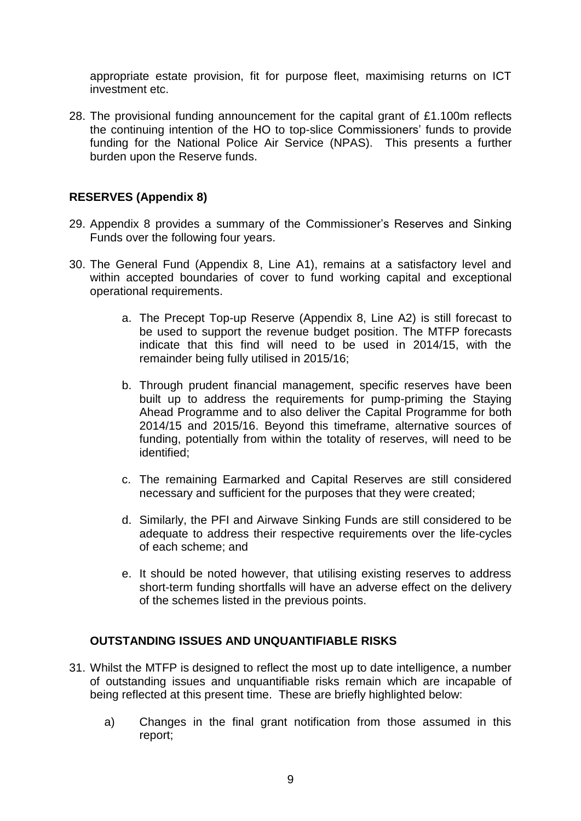appropriate estate provision, fit for purpose fleet, maximising returns on ICT investment etc.

28. The provisional funding announcement for the capital grant of £1.100m reflects the continuing intention of the HO to top-slice Commissioners' funds to provide funding for the National Police Air Service (NPAS). This presents a further burden upon the Reserve funds.

#### **RESERVES (Appendix 8)**

- 29. Appendix 8 provides a summary of the Commissioner's Reserves and Sinking Funds over the following four years.
- 30. The General Fund (Appendix 8, Line A1), remains at a satisfactory level and within accepted boundaries of cover to fund working capital and exceptional operational requirements.
	- a. The Precept Top-up Reserve (Appendix 8, Line A2) is still forecast to be used to support the revenue budget position. The MTFP forecasts indicate that this find will need to be used in 2014/15, with the remainder being fully utilised in 2015/16;
	- b. Through prudent financial management, specific reserves have been built up to address the requirements for pump-priming the Staying Ahead Programme and to also deliver the Capital Programme for both 2014/15 and 2015/16. Beyond this timeframe, alternative sources of funding, potentially from within the totality of reserves, will need to be identified;
	- c. The remaining Earmarked and Capital Reserves are still considered necessary and sufficient for the purposes that they were created;
	- d. Similarly, the PFI and Airwave Sinking Funds are still considered to be adequate to address their respective requirements over the life-cycles of each scheme; and
	- e. It should be noted however, that utilising existing reserves to address short-term funding shortfalls will have an adverse effect on the delivery of the schemes listed in the previous points.

## **OUTSTANDING ISSUES AND UNQUANTIFIABLE RISKS**

- 31. Whilst the MTFP is designed to reflect the most up to date intelligence, a number of outstanding issues and unquantifiable risks remain which are incapable of being reflected at this present time. These are briefly highlighted below:
	- a) Changes in the final grant notification from those assumed in this report;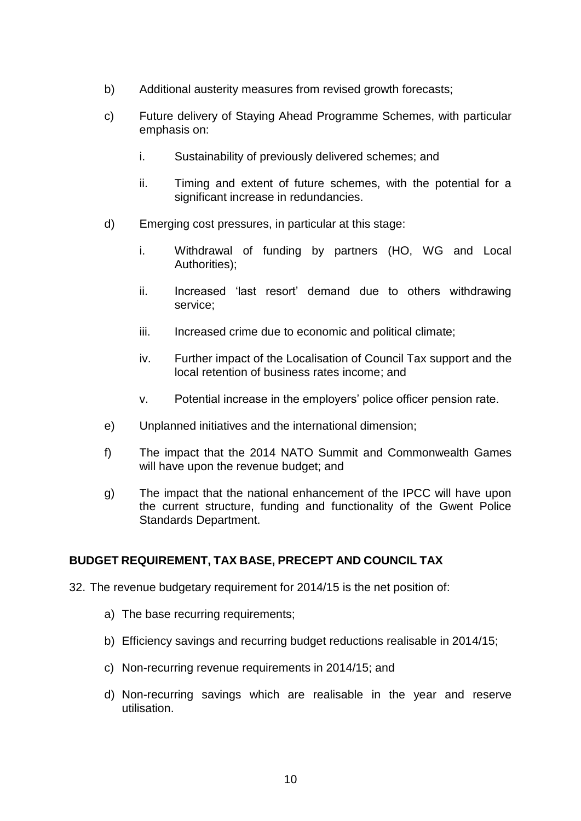- b) Additional austerity measures from revised growth forecasts;
- c) Future delivery of Staying Ahead Programme Schemes, with particular emphasis on:
	- i. Sustainability of previously delivered schemes; and
	- ii. Timing and extent of future schemes, with the potential for a significant increase in redundancies.
- d) Emerging cost pressures, in particular at this stage:
	- i. Withdrawal of funding by partners (HO, WG and Local Authorities);
	- ii. Increased 'last resort' demand due to others withdrawing service;
	- iii. Increased crime due to economic and political climate;
	- iv. Further impact of the Localisation of Council Tax support and the local retention of business rates income; and
	- v. Potential increase in the employers' police officer pension rate.
- e) Unplanned initiatives and the international dimension;
- f) The impact that the 2014 NATO Summit and Commonwealth Games will have upon the revenue budget; and
- g) The impact that the national enhancement of the IPCC will have upon the current structure, funding and functionality of the Gwent Police Standards Department.

## **BUDGET REQUIREMENT, TAX BASE, PRECEPT AND COUNCIL TAX**

- 32. The revenue budgetary requirement for 2014/15 is the net position of:
	- a) The base recurring requirements;
	- b) Efficiency savings and recurring budget reductions realisable in 2014/15;
	- c) Non-recurring revenue requirements in 2014/15; and
	- d) Non-recurring savings which are realisable in the year and reserve utilisation.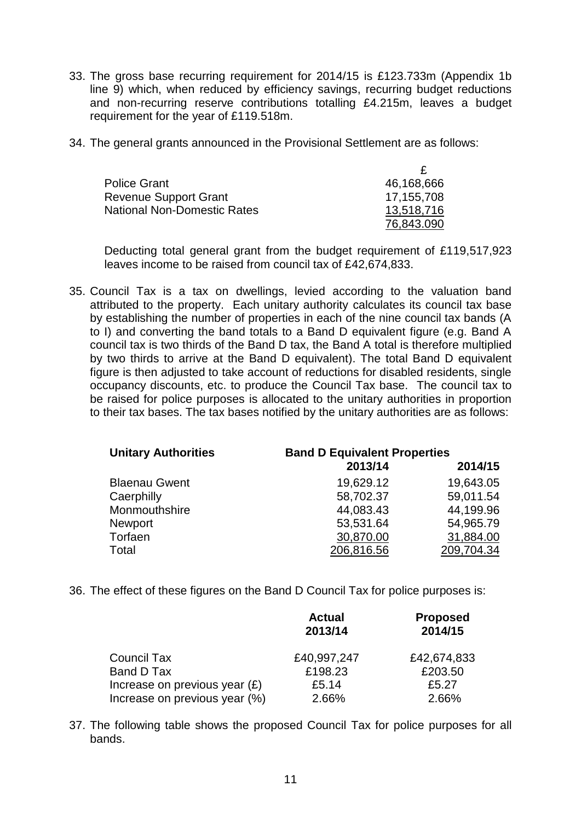- 33. The gross base recurring requirement for 2014/15 is £123.733m (Appendix 1b line 9) which, when reduced by efficiency savings, recurring budget reductions and non-recurring reserve contributions totalling £4.215m, leaves a budget requirement for the year of £119.518m.
- 34. The general grants announced in the Provisional Settlement are as follows:

| <b>Police Grant</b>          | 46,168,666 |
|------------------------------|------------|
| <b>Revenue Support Grant</b> | 17,155,708 |
| National Non-Domestic Rates  | 13,518,716 |
|                              | 76,843.090 |

Deducting total general grant from the budget requirement of £119,517,923 leaves income to be raised from council tax of £42,674,833.

35. Council Tax is a tax on dwellings, levied according to the valuation band attributed to the property. Each unitary authority calculates its council tax base by establishing the number of properties in each of the nine council tax bands (A to I) and converting the band totals to a Band D equivalent figure (e.g. Band A council tax is two thirds of the Band D tax, the Band A total is therefore multiplied by two thirds to arrive at the Band D equivalent). The total Band D equivalent figure is then adjusted to take account of reductions for disabled residents, single occupancy discounts, etc. to produce the Council Tax base. The council tax to be raised for police purposes is allocated to the unitary authorities in proportion to their tax bases. The tax bases notified by the unitary authorities are as follows:

| <b>Unitary Authorities</b> | <b>Band D Equivalent Properties</b> |            |  |
|----------------------------|-------------------------------------|------------|--|
|                            | 2013/14                             | 2014/15    |  |
| <b>Blaenau Gwent</b>       | 19,629.12                           | 19,643.05  |  |
| Caerphilly                 | 58,702.37                           | 59,011.54  |  |
| Monmouthshire              | 44,083.43                           | 44,199.96  |  |
| Newport                    | 53,531.64                           | 54,965.79  |  |
| Torfaen                    | 30,870.00                           | 31,884.00  |  |
| Total                      | 206,816.56                          | 209,704.34 |  |

36. The effect of these figures on the Band D Council Tax for police purposes is:

|                                 | <b>Actual</b><br>2013/14 | <b>Proposed</b><br>2014/15 |
|---------------------------------|--------------------------|----------------------------|
| Council Tax                     | £40,997,247              | £42,674,833                |
| Band D Tax                      | £198.23                  | £203.50                    |
| Increase on previous year $(E)$ | £5.14                    | £5.27                      |
| Increase on previous year (%)   | 2.66%                    | 2.66%                      |

37. The following table shows the proposed Council Tax for police purposes for all bands.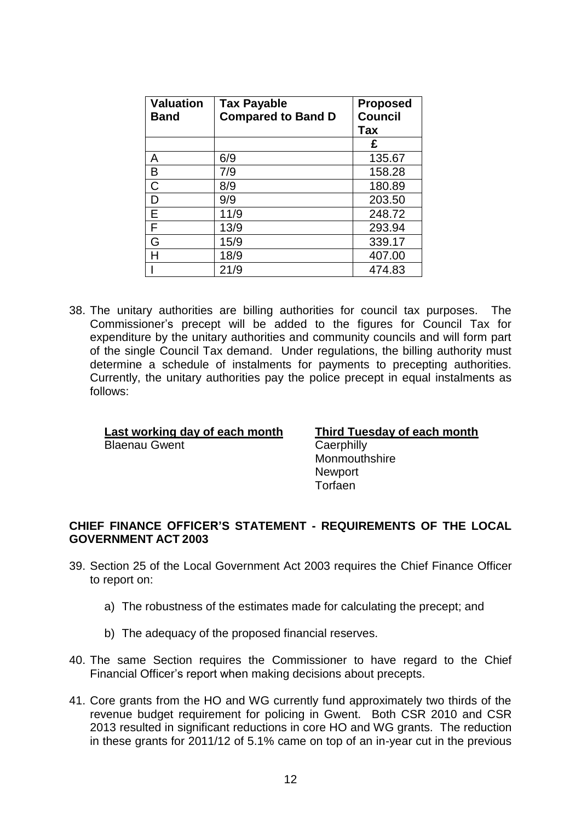| <b>Valuation</b><br>Band | <b>Tax Payable</b><br><b>Compared to Band D</b> | <b>Proposed</b><br><b>Council</b><br><b>Tax</b> |
|--------------------------|-------------------------------------------------|-------------------------------------------------|
|                          |                                                 | £                                               |
| A                        | 6/9                                             | 135.67                                          |
| B                        | 7/9                                             | 158.28                                          |
| C                        | 8/9                                             | 180.89                                          |
| D                        | 9/9                                             | 203.50                                          |
| Е                        | 11/9                                            | 248.72                                          |
| F                        | 13/9                                            | 293.94                                          |
| G                        | 15/9                                            | 339.17                                          |
| н                        | 18/9                                            | 407.00                                          |
|                          | 21/9                                            | 474.83                                          |

38. The unitary authorities are billing authorities for council tax purposes. The Commissioner's precept will be added to the figures for Council Tax for expenditure by the unitary authorities and community councils and will form part of the single Council Tax demand. Under regulations, the billing authority must determine a schedule of instalments for payments to precepting authorities. Currently, the unitary authorities pay the police precept in equal instalments as follows:

## **Last working day of each month Third Tuesday of each month** Blaenau Gwent Caerphilly

**Monmouthshire Newport** 

**Torfaen** 

### **CHIEF FINANCE OFFICER'S STATEMENT - REQUIREMENTS OF THE LOCAL GOVERNMENT ACT 2003**

- 39. Section 25 of the Local Government Act 2003 requires the Chief Finance Officer to report on:
	- a) The robustness of the estimates made for calculating the precept; and
	- b) The adequacy of the proposed financial reserves.
- 40. The same Section requires the Commissioner to have regard to the Chief Financial Officer's report when making decisions about precepts.
- 41. Core grants from the HO and WG currently fund approximately two thirds of the revenue budget requirement for policing in Gwent. Both CSR 2010 and CSR 2013 resulted in significant reductions in core HO and WG grants. The reduction in these grants for 2011/12 of 5.1% came on top of an in-year cut in the previous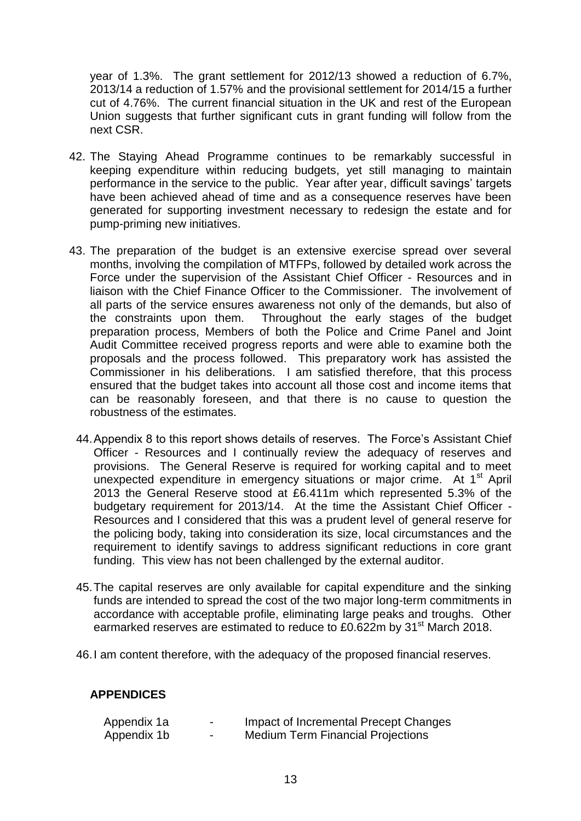year of 1.3%. The grant settlement for 2012/13 showed a reduction of 6.7%, 2013/14 a reduction of 1.57% and the provisional settlement for 2014/15 a further cut of 4.76%. The current financial situation in the UK and rest of the European Union suggests that further significant cuts in grant funding will follow from the next CSR.

- 42. The Staying Ahead Programme continues to be remarkably successful in keeping expenditure within reducing budgets, yet still managing to maintain performance in the service to the public. Year after year, difficult savings' targets have been achieved ahead of time and as a consequence reserves have been generated for supporting investment necessary to redesign the estate and for pump-priming new initiatives.
- 43. The preparation of the budget is an extensive exercise spread over several months, involving the compilation of MTFPs, followed by detailed work across the Force under the supervision of the Assistant Chief Officer - Resources and in liaison with the Chief Finance Officer to the Commissioner. The involvement of all parts of the service ensures awareness not only of the demands, but also of the constraints upon them. Throughout the early stages of the budget preparation process, Members of both the Police and Crime Panel and Joint Audit Committee received progress reports and were able to examine both the proposals and the process followed. This preparatory work has assisted the Commissioner in his deliberations. I am satisfied therefore, that this process ensured that the budget takes into account all those cost and income items that can be reasonably foreseen, and that there is no cause to question the robustness of the estimates.
	- 44.Appendix 8 to this report shows details of reserves. The Force's Assistant Chief Officer - Resources and I continually review the adequacy of reserves and provisions. The General Reserve is required for working capital and to meet unexpected expenditure in emergency situations or major crime. At 1<sup>st</sup> April 2013 the General Reserve stood at £6.411m which represented 5.3% of the budgetary requirement for 2013/14. At the time the Assistant Chief Officer - Resources and I considered that this was a prudent level of general reserve for the policing body, taking into consideration its size, local circumstances and the requirement to identify savings to address significant reductions in core grant funding. This view has not been challenged by the external auditor.
	- 45.The capital reserves are only available for capital expenditure and the sinking funds are intended to spread the cost of the two major long-term commitments in accordance with acceptable profile, eliminating large peaks and troughs. Other earmarked reserves are estimated to reduce to £0.622m by 31<sup>st</sup> March 2018.
	- 46.I am content therefore, with the adequacy of the proposed financial reserves.

#### **APPENDICES**

| Appendix 1a | $\overline{\phantom{0}}$ | Impact of Incremental Precept Changes    |
|-------------|--------------------------|------------------------------------------|
| Appendix 1b | $\overline{\phantom{0}}$ | <b>Medium Term Financial Projections</b> |